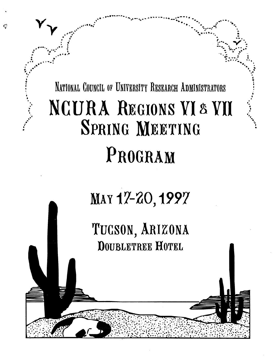# NATIONAL COUNCIL OF UNIVERSITY RESEARCH ADMINISTRATORS NCURA REGIONS VI & VII SPRING MEETING PROGRAM

# MAY 17-20, 1997

TUCSON, ARIZONA **DOUBLETREE HOTEL**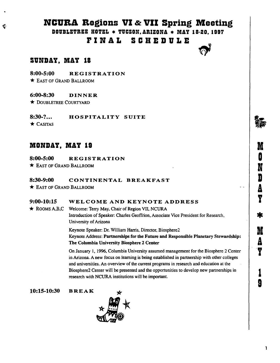# NCURA Regions VI  $\alpha$  VII Spring Meeting

DOUBLETREE HOTEL \* TUCSON, ARIZONA \* MAY 18-20, 1997

## FINAL SCHEDULE

## SVNnAY, MAY 18

8:00-5:00 REGISTRATION

\* EAST OF GRAND BALLROOM

### 6:00-8:30 DINNER

~k DOUBLETREE COURTYARD

8:30-?... HOSPITALITY SUITE

 $\star$  CASITAS

## MONDAY, MAY 19

8:00-5:00 REGISTRATION

'\* EAST OF GRAND BALLROOM

### 8:30-9:00 CONTINENTAL BREAKFAST

\* EAST OF GRAND BALLROOM

### 9:00-10:15 WELCOME AND KEYNOTE ADDRESS

 $\star$  ROOMS A,B,C Welcome: Terry May, Chair of Region VII, NCURA Introduction of Speaker. Charles Geoffrion, Associate Vice President for Research, University of Arizona

> Keynote Speaker: Dr. William Harris, Director, Biosphere2 Keynote Address: Partnerships for the Future and Responsible Planetary Stewardship: The Columbia University Biosphere 2 Center

> On January 1, 1996, Columbia University assumed management for the Biosphere 2 Center in Arizona. A new focus on learning is being established in partnership with other colleges and universities. An overview of the current programs in research and education at the Biosphere2 Center will be presented and the opportunities to develop new partnerships in research with NCURA instiwtions will be important.

10:15-10:30 BREAK

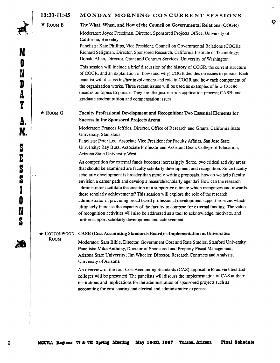#### 10:30-11:45 MONDAY MORNING CONCURRENT SESSIONS

 $\star$  ROOM B The What, When, and How of the Council on Governmental Relations (COGR)

Moderator: Joyce Freedman, Director, Sponsored Projects Office, University of California, Berkeley

Panelists: Kate Phillips, Vice President, Council on Governmental Relations (COGR); Richard Seligman, Director, Sponsored Research, California Institute of Technology; Donald Allen, Director, Grant and Contract Services, University of Washington

O

This session will include a brief discussion of the history of COGR, the current structure of COGR, and an explanation of how (and why) COGR decides on issues to pursue. Each panelist will discuss his/her involvement and role in COGR and how each component of the organization works. Three recent issues will be used as examples of how COGR decides on topics to pursue. They are: the just-in-time application process; CASB; and graduate student tuition and compensation issues.

### $\star$  ROOM G Faculty Professional Development and Recognition: Two Essential Elements for Success in the Sponsored Projects Arena

Moderator: Frances Jeffries, Director, Office of Research and Grants, California State University, Stanislaus

Panelists: Peter Lee, Associate Vice President for Faculty Affairs, San Jose State University; Ray Buss, Associate Professor and Assistant Dean, College of Education, Arizona State University West

As competition for external funds becomes increasingly fierce, two critical activity areas that should be examined are faculty scholarly development and recognition. Since faculty scholarly development is broader than merely writing proposals, how do we help faculty envision a career path and develop aresearch/scholarly agenda? How can the research administrator facilitate the creation of a supportive climate which recognizes and rewards these scholarly achievements?This session will explore the role of the research administrator in providing broad based professional development support services which ultimately increase the capacity of the faculty to compete for external funding. The value of recognition activities will also be addressed as a tool to acknowledge, motivate, and further support scholarly development and achievement.

 $\star$  COTTONWOOD CASB (Cost Accounting Standards Board)—Implementation at Universities

ROOM Moderator: Sara Bible, Director, Government Cost and Rate Studies, Stanford University Panelists: Mike Anthony, Director of Sponsored and Property Fiscal Management, Arizona State University; Jim Wheeler, Director, Research Contracts and Analysis, University of Arizona

> An overview of the four CostAccounting Standards (CAS) applicable to universities and colleges will be presented. The panelists will discuss the implementation of CAS at their institutions and implications for the administration of sponsored projects such as accounting for cost sharing and clerical and administrative expenses.

KA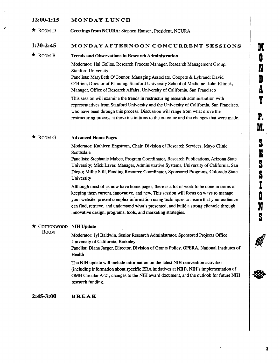# M O N D g Y P. M. בין עם עם בין עם O N S

#### 12:00-1:15 MONDAY LUNCH

 $\star$  ROOM D Greetings from NCURA: Stephen Hansen, President, NCURA

#### 1:30-2:45 MONDAY AFTERNOON CONCURRENT SESSIONS

 $\star$  ROOM B Trends and Observations in Research Administration

Moderator: Hal Gollos, Research Process Manager, Research Management Group, Stanford University Panelists: MaryBeth O'Connor, Managing Associate, Coopers & Lybrand; David

O'Brien, Director of Planning, Stanford University School of Medicine; John Klimek, Manager, Office of Research Affairs, University of California, San Francisco

This session will examine the trends in restructuring research administration with representatives from Stanford University and the University of California, San Francisco, who have been through this process. Discussion will range from what drove the restructuring process at these institutions to the outcome and the changes that were made.

#### $\star$  ROOM G Advanced Home Pages

Moderator: Kathleen Engstrom, Chair, Division of Research Services, Mayo Clinic Scottsdale

Panelists: Stephanie Mabee, Program Coordinator, Research Publications, Arizona State University; Mick Laver, Manager, Administrative Systems, University of California, San Diego; Millie Still, Funding Resource Coordinator, Sponsored Programs, Colorado State University

Although most of us now have home pages, there is a lot of work to be done in terms of keeping them current, innovative, and new. This session will focus on ways to manage your website, present complex information using techniques to insure that your audience can find, retrieve, and understand what's presented, and build a strong clientele through innovative design, programs, tools, and marketing strategies.

#### $\star$  COTTONWOOD NIH Update

ROOM<br>Moderator: Jyl Baldwin, Senior Research Administrator, Sponsored Projects Office, University of California, Berkeley

Panelist: Diana Jaeger, Director, Division of Grants Policy, OPERA, National Institutes of Health

The N1H update will include information on the latest NIH reinvention activities (including information about specific ERA initiatives at N1H), NIH's implementation of OMB CircularA-21, changes to the NIH award document, and the outlook for future NIH research funding.

2:45-3:00 B R E A K

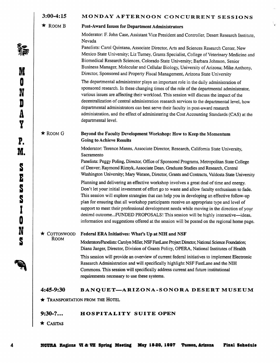#### MONDAY AFTERNOON CONCURRENT SESSIONS 3:00-4:15

 $\star$  Room B

### Post-Award Issues for Department Administrators

Moderator: R John Case, Assistant Vice President and Controller, Desert Research Institute, Nevada

Panelists: Carol Quintana, Associate Director, Arts and Sciences Research Center, New Mexico State University; Liz Turney, Grants Specialist, College of Veterinary Medicine and Biomedical Research Sciences, Colorado State University; Barbara Johnson, Senior Business Manager, Molecular and Cellular Biology, University of Arizona; Mike Anthony, Director, Sponsored and Property Fiscal Management, Arizona State University

The departmental administrator plays an important role in the daily administration of sponsored research. In these changing times of the role of the departmental administrator, various issues are affecting their workload. This session will discuss the impact of the decentralization of central administration research services to the departmental level, how departmental administrators can best serve their faculty in post-award research administration, and the effect of administering the Cost Accounting Standards (CAS) at the departmental level.

 $\star$  ROOM G

#### Beyond the Faculty Development Workshop: How to Keep the Momentum Going to Achieve Results

Moderator: Terence Manns, Associate Director, Research, California State University, Sacramento

Panelists: Peggy Poling, Director, Office of Sponsored Programs, Metropolitan State College of Denver; Raymond Riznyk, Associate Dean, Graduate Studies and Research, Central Washington University; Mary Watson, Director, Grants and Contracts, Valdosta State University

Planning and delivering an effective workshop involves a great deal of time and energy. Don't let your initial investment of effort go to waste and allow faculty enthusiasm to fade. This session will explore strategies that can help you in developing an effective follow-up plan for ensuring that all workshop participants receive an appropriate type and level of support to meet their professional development needs while moving in the direction of your desired outcome...FUNDED PROPOSALS! This session will be highly interactive—ideas, information and suggestions offered at the session will be posted on the regional home page.

# $\star$  COTTONWOOD Federal ERA Initiatives: What's Up at NIH and NSF ROOM

Moderators/Panelists: Carolyn Miller, NSF FastLane Project Director, National Science Foundation; Diana Jaeger, Director, Division of Grants Policy, OPERA, National Institutes of Health

This session will provide an overview of current federal initiatives to implement Electronic Research Administration and will specifically highlight NSF FastLane and the NIH Commons. This session will specifically address current and future institutional requirements necessary to use these systems.

### 4:45-9:30 BANQUET- ARIZONA-SONORA DESERT MUSEUM

 $\star$  Transportation from the Hotel

### 9:30-?... HOSPITALITY SUITE OPEN

 $\star$  Casitas

**¶\** M O N D A Y P. M. d. E O N S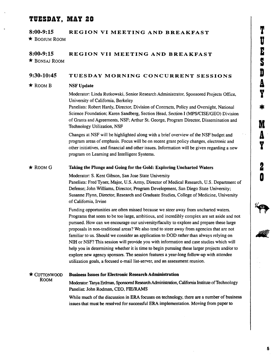# T Ú E d, A Y **WI** A Y Z 0

## TVESnAY, MAY 20

### 8:00-9:15 REGION VI MEETING AND BREAKFAST \* BOOJUM ROOM

#### 8:00-9:15 REGION VII MEETING AND BREAKFAST \* BONSAJ ROOM

#### TUESDAY MORNING CONCURRENT SESSIONS 9:30-10:45

#### NSF Update  $\star$  Room B

Moderator: Linda Rutkowski, Senior Research Administrator, Sponsored Projects Office, University of California, Berkeley

Panelists: Robert Hardy, Director, Division of Contracts, Policy and Oversight, National Science Foundation; Karen Sandberg, Section Head, Section I (MPS/CISE/GEO) Division of Grants and Agreements, NSF; Arthur St. George, Program Director, Dissemination and Technology Utilization, NSF

Changes at NSF will be highlighted along with a brief overview of the NSF budget and program areas of emphasis. Focus will be on recent grant policy changes, electronic and other initiatives, and financial and other issues. Information will be given regarding a new program on Learning and Intelligent Systems.

#### Taking the Plunge and Going for the Gold: Exploring Uncharted Waters  $\star$  ROOM G

Moderator: S. Kent Gibson, San Jose State University

Panelists: Fred Tyner, Major, U.S. Army, Director of Medical Research, U.S. Department of Defense; John Williams, Director, Program Development, San Diego State University; Susanne Flynn, Director, Research and Graduate Studies, College of Medicine, University of California, Irvine

Funding opportunities are often missed because we steer away from uncharted waters. Programs that seem to be too large, ambitious, and incredibly complex are set aside and not pursued. How can we encourage our university/faculty to explore and prepare these large proposals in non-traditional areas? We also tend to steer away from agencies that are not familiar to us. Should we consider an application to DOD rather than always relying on NIH or NSF? This session will provide you with information and case studies which will help you in determining whether it is time to begin pursuing these larger projects and/or to explore new agency sponsors. The session features a year-long follow-up with attendee utilization goals, a focused e-mail list-server, and an assessment reunion.

## \* COTTONWOOD

ROOM

#### Business Issues for Electronic Research Administration

Moderator: Tanya Erdman, Sponsored Research Administration, California Institute of Technology Panelist: John Rodman, CEO, FIE/RAMS

While much of the discussion in ERA focuses on technology, there are a number of business issues that must be resolved for successful ERA implementation. Moving from paper to

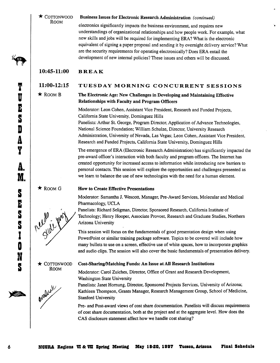#### $\star$  COTTONWOOD **ROOM** Business Issues for Electronic Research Administration *(continued)*

electronics significantly impacts the business environment, and requires new understandings of organizational relationships and how people work. For example, what new skills and jobs will be required for implementing ERA? What is the electronic equivalent of signing a paper proposal and sending it by overnight delivery service? What are the security requirements for operating electronically? Does ERA entail the development of new internal policies? These issues and others will be discussed.

## 10:45-11:00 BREAK

#### 11:00-12:15 TUESDAY MORNING CONCURRENT SESSIONS

 $\star$  ROOM B

#### The Electronic Age: New Challenges in Developing and Maintaining Effective Relationships with Faculty and Program Officers

Moderator: Leon Cohen, Assistant Vice President, Research and Funded Projects, California State University, Dominguez Hills

Panelists: Arthur St. George, Program Director, Application of Advance Technologies, National Science Foundation; William Schulze, Director, University Research Administration, University of Nevada, Las Vegas; Leon Cohen, Assistant Vice President, Research and Funded Projects, California State University, Dominguez Hills

The emergence of ERA (Electronic Research Administration) has significantly impacted the pre-award officer's interaction with both faculty and program officers. The Internet has created opportunity for increased access to information while introducing new barriers to personal contacts. This session will explore the opportunities and challenges presented as we learn to balance the use of new technologies with the need for a human element.

 $\star$  Room G

#### How to Create Effective Presentations

Moderator: Samantha J. Wescott, Manager, Pre-Award Services, Molecular and Medical Pharmacology, UCLA

Panelists: Richard Seligman, Director, Sponsored Research, California Institute of Technology; Henry Hooper, Associate Provost, Research and Graduate Studies, Northern Arizona University

This session will focus on the fundamentals of good presentation design when using PowerPoint or similar training package software. Topics to be covered will include how many bullets to use on a screen, effective use of white spaces, how to incorporate graphics and audio clips. The session will also cover the basic fundamentals of presentation delivery.

#### Cost-Sharing/Matching Funds: An Issue at All Research Institutions

Moderator: Carol Zuiches, Director, Office of Grant and Research Development, Washington State University

Panelists: Janet Hornung, Director, Sponsored Projects Services, University of Arizona; Kathleen Thompson, Grants Manager, Research Management Group, School of Medicine, Stanford University

Pre- and Post-award views of cost share documentation. Panelists will discuss requirements of cost share documentation, both at the project and at the aggregate level. How does the CAS disclosure statement affect how we handle cost sharing?





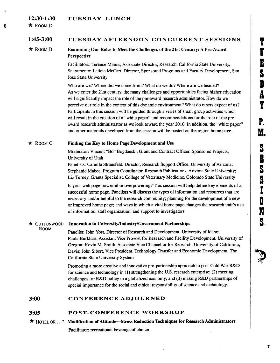#### 12:30-1:30 TUESDAY LUNCH

 $\star$  ROOM D

4

#### 1:45-3:00 TUESDAY AFTERNOON CONCURRENT SESSIONS

#### $\star$  ROOM B Examining Our Roles to Meet the Challenges of the 21st Century: A Pre-Award Perspective

Facilitators: Terence Manns, Associate Director, Research, California State University, Sacramento; Leticia McCart, Director, Sponsored Programs and Faculty Development, San Jose State University

Who are we? Where did we come from? What do we do? Where are we headed? As we enter the 21st century, the many challenges and opportunities facing higher education will significantly impact the role of the pre-award research administrator. How do we perceive our role in the context of this dynamic environment? What do others expect of us? Participants in this session will be guided through a series of small group activities which will result in the creation of a "white paper" and recommendations for the role of the preaward research administrator as we look toward the year 2010. In addition, the "white paper" and other materials developed from the session will be posted on the region home page.

#### $\star$  ROOM G Finding the Key to Home Page Development and Use

Moderator: Vincent "Bo" Bogdanski, Grant and Contract Officer, Sponsored Projects, University of Utah

Panelists: Camilla Strausfeld, Director, Research Support Office, University of Arizona; Stephanie Mabee, Program Coordinator, Research Publications, Arizona State University; Liz Turney, Grants Specialist, College of Veterinary Medicine, Colorado State University

Is your web page powerful or overpowering? This session will help define key elements of a successful home page. Panelists will discuss the types of information and resources that are necessary and/or helpful to the research community; planning for the development of a new or improved home page; and ways in which a vital home page changes the research unit's use of information, staff organization, and support to investigators.

#### ~' COTTONWOOD ROOM Innovation in University/Industry/Government Partnerships Panelist: John Yost, Director of Research and Development, University of Idaho; Paula Burkhart, Assistant Vice Provost for Research and Facility Development, University of Oregon; Kevin M. Smith, Associate Vice Chancellor for Research, University of California, Davis; John Sibert, Vice President, Technology Transfer and Economic Development, The California State University System

Promoting a more creative and innovative pro-partnership approach to post-Cold War R&D for science and technology in (1) strengthening the U.S. research enterprise; (2) meeting challenges for R&D policy in a globalized economy; and (3) making R&D partnerships of special importance for the social and ethical responsibility of science and technology.

#### 3:00 CONFERENCE ADJOURNED

#### 3:05 POST-CONFERENCE WORKSHOP

\* HOTEL OR ...? Modification of Attitude-Stress Reduction Techniques for Research Administrators Facilitator: recreational beverage of choice

7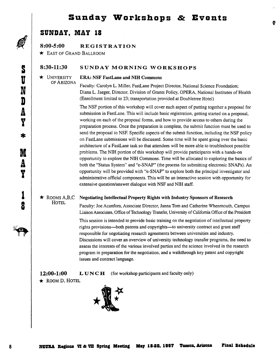## Sunday Workshops & Events

## SUNDAY. MAY 18

8:00-5:00 REGISTRATION

 $\star$  East of Grand Ballroom

#### 8:30-11:30 SUNDAY MORNING WORKSHOPS

OF ARIZONA

#### \* UNIVERSITY ERA: NSF FastLane and NIH Commons

Faculty: Carolyn L. Miller, FastLane Project Director, National Science Foundation; Diana L. Jaeger, Director, Division of Grants Policy, OPERA, National Institutes of Health (Enrollment limited to 23; transportation provided at Doubletree Hotel)

The NSF portion of this workshop will cover each aspect of putting together a proposal for submission in FastLane. This will include basic registration, getting started on a proposal, working on each of the proposal forms, and how to provide access to others during the preparation process. Once the preparation is complete, the submit function must be used to send the proposal to NSF. Specific aspects of the submit function, including the NSF policy on FastLane submissions will be discussed. Some time will be spent going over the basic architecture of a FastLane task so that attendees will be more able to troubleshoot possible problems. The NIH portion of this workshop will provide participants with ahands-on opportunity to explore the NIH Commons. Time will be allocated to exploring the basics of both the "Status System" and "e-SNAP" (the process for submitting electronic SNAPs). An opportunity will be provided with "e-SNAP" to explore both the principal investigator and administrative official components. This will be an interactive session with opportunity for extensive question/answer dialogue with NSF and NIH staff.

 $\star$  ROOMS A,B,C Negotiating Intellectual Property Rights with Industry Sponsors of Research **HOTEL** 

Faculty: Joe Acanfora, Associate Director, Janna Tom and Catherine Whenmouth, Campus Liaison Associates, Office of Technology Transfer, University of California Office of the President

This session is intended to provide basic training on the negotiation of intellectual property rights provisions-both patents and copyrights-to university contract and grant staff responsible for negotiating research agreements between universities and industry. Discussions will cover an overview of university technology transfer programs, the need to assess the interests of the various involved parties and the science involved in the research program in preparation for the negotiation, and a walkthrough key patent and copyright issues and contract language.

12:00-1:00 LUNCH (for workshop participants and faculty only)

 $\star$  ROOM D, HOTEL



8

 $\mathbf{o}$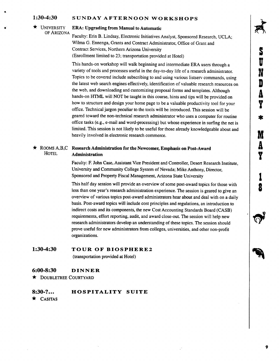#### SUNDAY AFTERNOON WORKSHOPS 1:30-4:30

#### $\star$  UNIVERSITY OF ARIZONA

i

#### ERA: Upgrading from Manual to Automatic

Faculty: Erin B. Lindsay, Electronic Initiatives Analyst, Sponsored Research, UCLA; Wilma G. Ennenga, Grants and Contract Administrator, Office of Grant and Contract Services, Northern Arizona University (Enrollment limited to 23; transportation provided at Hotel)

This hands-on workshop will walk beginning and intermediate ERA users through a variety of tools and processes useful in the day-to-day life of a research administrator. Topics to be covered include subscribing to and using various listserv commands, using the latest web search engines effectively, identification of valuable research resources on the web, and downloading and customizing proposal forms and templates. Although hands-on HTML will NOT be taught in this course, hints and tips will be provided on how to structure and design your home page to be a valuable productivity tool for your office. Technical jargon peculiar to the tools will be introduced. This session will be geared toward the non-technical research administrator who uses a computer for routine office tasks (e.g., e-mail and word-processing) but whose experience in surfing the net is limited. This session is not likely to be useful for those already knowledgeable about and heavily involved in electronic research commerce.

### $\star$  ROOMS A,B,C Research Administration for the Newcomer, Emphasis on Post-Award<br>HOTEL Administration Administration

Faculty: F. John Case, Assistant Vice President and Controller, Desert Research Institute, University and Community College System of Nevada; Mike Anthony, Director, Sponsored and Property Fiscal Management, Arizona State University

This half day session will provide an overview of some post-award topics for those with less than one year's research administration experience. The session is geared to give an overview of various topics post-award administrators hear about and deal with on a daily basis. Post-award topics will include cost principles and regulations, an introduction to indirect costs and its components, the new Cost Accounting Standards Board (CASB) requirements, effort reporting, audit, and award close-out. The session will help new research administrators develop an understanding of these topics. The session should prove useful for new administrators from colleges, universities, and other non-profit organizations.

# 1:30-4:30  $\overline{TOUR OF BIOSPHERE2}$ TOUR OF BIOSPHERE2

(transportation provided at Hotel)

#### 6:00-8:30 DINNER

'\* DOUBLETREE COURTYARD

#### 8:30-?... HOSPITALITY SUITE

 $\star$  CASITAS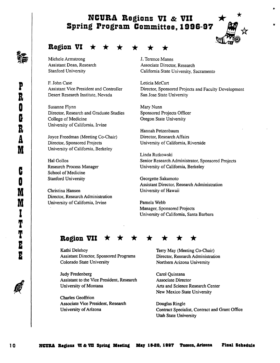# NCURA Regions VI & VII<br>Spring Program Committee, 1996-97



## Region VI

Michele Armstrong Assistant Dean, Research Stanford University

R John Case Assistant Vice President and Controller Desert Research Institute, Nevada

Susanne Flynn Director, Research and Graduate Studies College of Medicine University of California, Irvine

Joyce Freedman (Meeting Co-Chair) Director, Sponsored Projects University of California, Berkeley

Hal Gollos Research Process Manager School of Medicine Stanford University

Christina Hansen Director, Research Administration University of California, Irvine

J. Terence Manns Associate Director, Research California State University, Sacramento

Leticia McCart Director, Sponsored Projects and Faculty Development San Jose State University

Mary Nunn Sponsored Projects Officer Oregon State University

Hannah Petzenbaum Director, Research Affairs University of California, Riverside

Linda Rutkowski Senior Research Administrator, Sponsored Projects University of California, Berkeley

Georgette Sakumoto Assistant Director, Research Administration University of Hawaii

Pamela Webb Manager, Sponsored Projects University of California, Santa Barbara

## Region VII

Kathi Delehoy Assistant Director, Sponsored Programs Colorado State University

Judy Fredenberg Assistant to the Vice President, Research University of Montana

Charles Geoffrion Associate Vice President, Research University of Arizona

Terry May (Meeting Co-Chair) Director, Research Administration Northern Arizona University

Carol Quintana Associate Director Arts and Science Research Center New Mexico State University

Douglas Ringle Contract Specialist, Contract and Grant Office Utah State University

 $\frac{2}{95}$  $\frac{1}{2}$ 

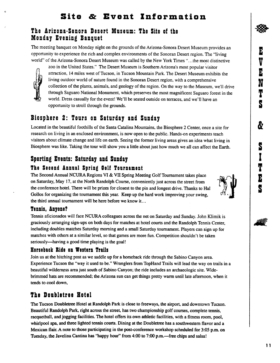## The Arizona-Sonora Desert Museum: The Site of the Monday Evening Banquet

The meeting banquet on Monday night on the grounds of the Arizona-Sonora Desert Museum provides an opportunity to experience the rich and complex environments of the Sonoran Desert region. The "living world" of the Arizona-Sonora Desert Museum was called by the New York Times "...the most distinctive



zoo in the United States." The Desert Museum is Southern Arizona's most popular visitor attraction, 14 miles west of Tucson, in Tucson Mountain Park. The Desert Museum exhibits the living outdoor world of nature found in the Sonoran Desert region, with a comprehensive collection of the plants, animals, and geology of the region. On the way to the Museum, we'll drive through Saguaro National Monument, which preserves the most magnificent Saguaro forest in the world. Dress casually for the event! We'll be seated outside on terraces, and we'll have an opportunity to stroll through the grounds.

## Biosphere 2: Tours on Saturday aad Sunday

Located in the beautiful foothills of the Santa Catalina Mountains, the Biosphere 2 Center, once a site for research on living in an enclosed environment, is now open to the public. Hands-on experiments teach visitors about climate change and life on earth. Seeing the former living areas gives an idea what living in Biosphere was like. Taking the tour will show you a little about just how much we all can affect the Earth.

## Sportiag 8veats: Saturday aad Sunday

## The Second Annual Spring Golf Tournament

The Second Annual NCURA Regions VI & VII Spring Meeting Golf Tournament takes place on Saturday, May 17, at the North Randolph Course, conveniently just across the street from the conference hotel. There will be prizes for closest to the pin and longest drive. Thanks to Hal Gollos for organizing the tournament this year. Keep up the hard work improving your swing, the third annual tournament will be here before we know it...

## Tennis, Anvone?

Tennis aficionados will face NCURA colleagues across the net on Saturday and Sunday. John Klimik is graciously arranging sign-ups on both days for matches at hotel courts and the Randolph Tennis Center, including doubles matches Saturday morning and a small Saturday tournament. Players can sign up for matches with others at a similar level, so that games are more fun. Competition shouldn't be taken seriously—having a good time playing is the goal!

## Rorsebacl< bide oa Western Trails

Join us at the hitching post as we saddle up for a horseback ride through the Sabino Canyon area. Experience Tucson the "way it used to be." Wranglers from TopHand Trails will lead the way on trails in a beautiful wilderness area just south of Sabino Canyon; the ride includes an archaeologic site. Widebrimmed hats are recommended; the Arizona sun can get things pretty warm until late afternoon, when it tends to cool down,

## The Doubletree Hotel

The Tucson Doubletree Hotel at Randolph Park is close to freeways, the airport, and downtown Tucson. Beautiful Randolph Park, right across the street, has two championship golf courses, complete tennis, racquetball, and jogging facilities. The hotel offers its own athletic facilities, with a fitness room, pool, whirlpool spa, and three lighted tennis courts. Dining at the Doubletree has a southwestern flavor and a Mexican flair. A note to those participating in the post-conference workshop scheduled for 3:05 p.m. on Tuesday, the Javelina Cantina has "happy hour" from 4:00 to 7:00 p.m.—free chips and salsa!





I T

S

E

S

V

E

**N** 

E

T

S

&